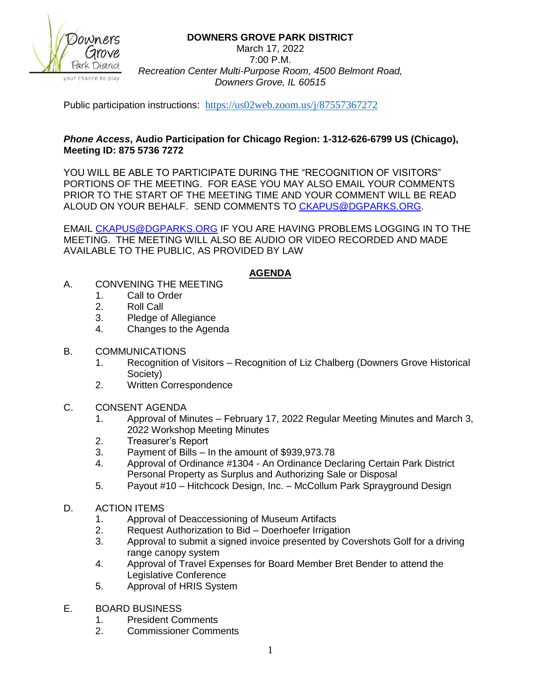

# **DOWNERS GROVE PARK DISTRICT**

March 17, 2022 7:00 P.M. *Recreation Center Multi-Purpose Room, 4500 Belmont Road, Downers Grove, IL 60515*

Public participation instructions: <https://us02web.zoom.us/j/87557367272>

## *Phone Access***, Audio Participation for Chicago Region: 1-312-626-6799 US (Chicago), Meeting ID: 875 5736 7272**

YOU WILL BE ABLE TO PARTICIPATE DURING THE "RECOGNITION OF VISITORS" PORTIONS OF THE MEETING. FOR EASE YOU MAY ALSO EMAIL YOUR COMMENTS PRIOR TO THE START OF THE MEETING TIME AND YOUR COMMENT WILL BE READ ALOUD ON YOUR BEHALF. SEND COMMENTS TO [CKAPUS@DGPARKS.ORG.](mailto:CKAPUS@DGPARKS.ORG)

EMAIL [CKAPUS@DGPARKS.ORG](mailto:ckapus@dgparks.org) IF YOU ARE HAVING PROBLEMS LOGGING IN TO THE MEETING. THE MEETING WILL ALSO BE AUDIO OR VIDEO RECORDED AND MADE AVAILABLE TO THE PUBLIC, AS PROVIDED BY LAW

# **AGENDA**

- A. CONVENING THE MEETING
	- 1. Call to Order
	- 2. Roll Call
	- 3. Pledge of Allegiance
	- 4. Changes to the Agenda
- B. COMMUNICATIONS
	- 1. Recognition of Visitors Recognition of Liz Chalberg (Downers Grove Historical Society)
	- 2. Written Correspondence
- C. CONSENT AGENDA
	- 1. Approval of Minutes February 17, 2022 Regular Meeting Minutes and March 3, 2022 Workshop Meeting Minutes
	- 2. Treasurer's Report
	- 3. Payment of Bills In the amount of \$939,973.78
	- 4. Approval of Ordinance #1304 An Ordinance Declaring Certain Park District Personal Property as Surplus and Authorizing Sale or Disposal
	- 5. Payout #10 Hitchcock Design, Inc. McCollum Park Sprayground Design
- D. ACTION ITEMS
	- 1. Approval of Deaccessioning of Museum Artifacts
	- 2. Request Authorization to Bid Doerhoefer Irrigation
	- 3. Approval to submit a signed invoice presented by Covershots Golf for a driving range canopy system
	- 4. Approval of Travel Expenses for Board Member Bret Bender to attend the Legislative Conference
	- 5. Approval of HRIS System
- E. BOARD BUSINESS
	- 1. President Comments
	- 2. Commissioner Comments